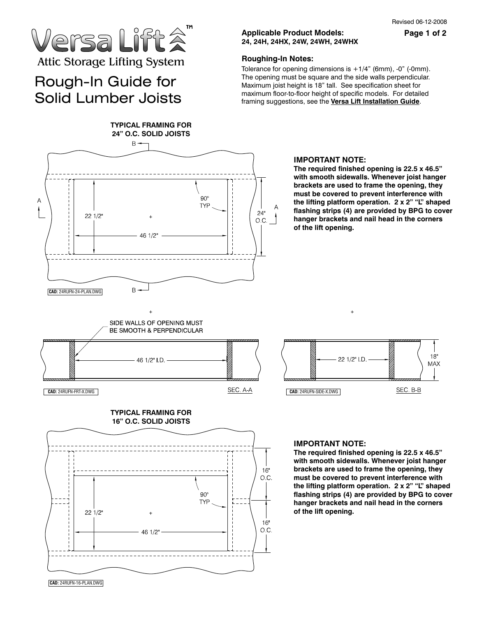Page 1 of 2

# lersa Lift â Attic Storage Lifting System

### Rough-In Guide for Solid Lumber Joists



#### **Roughing-In Notes:**

Tolerance for opening dimensions is  $+1/4$ " (6mm), -0" (-0mm). The opening must be square and the side walls perpendicular. Maximum joist height is 18" tall. See specification sheet for maximum floor-to-floor height of specific models. For detailed framing suggestions, see the **Versa Lift Installation Guide**.



### **IMPORTANT NOTE:**

**The required finished opening is 22.5 x 46.5" with smooth sidewalls. Whenever joist hanger brackets are used to frame the opening, they must be covered to prevent interference with the lifting platform operation. 2 x 2" "L" shaped flashing strips (4) are provided by BPG to cover hanger brackets and nail head in the corners of the lift opening.** 







### **IMPORTANT NOTE:**

**The required finished opening is 22.5 x 46.5" with smooth sidewalls. Whenever joist hanger brackets are used to frame the opening, they must be covered to prevent interference with the lifting platform operation. 2 x 2" "L" shaped flashing strips (4) are provided by BPG to cover hanger brackets and nail head in the corners of the lift opening.** 

 **CAD:** 24RUFN-16-PLAN.DWG